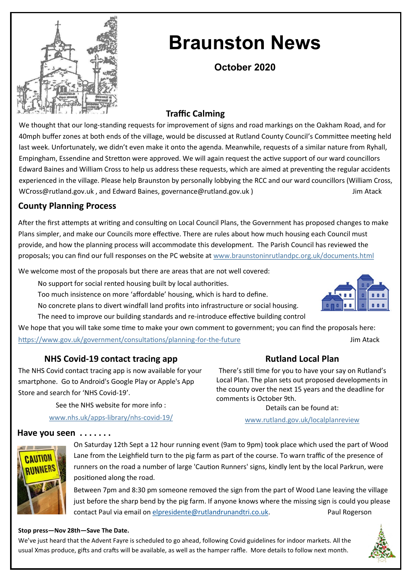

# **Braunston News**

**October 2020**

# **Traffic Calming**

We thought that our long-standing requests for improvement of signs and road markings on the Oakham Road, and for 40mph buffer zones at both ends of the village, would be discussed at Rutland County Council's Committee meeting held last week. Unfortunately, we didn't even make it onto the agenda. Meanwhile, requests of a similar nature from Ryhall, Empingham, Essendine and Stretton were approved. We will again request the active support of our ward councillors Edward Baines and William Cross to help us address these requests, which are aimed at preventing the regular accidents experienced in the village. Please help Braunston by personally lobbying the RCC and our ward councillors (William Cross, WCross@rutland.gov.uk, and Edward Baines, governance@rutland.gov.uk ) Jim Atack

# **County Planning Process**

After the first attempts at writing and consulting on Local Council Plans, the Government has proposed changes to make Plans simpler, and make our Councils more effective. There are rules about how much housing each Council must provide, and how the planning process will accommodate this development. The Parish Council has reviewed the proposals; you can find our full responses on the PC website at www.braunstoninrutlandpc.org.uk/documents.html

We welcome most of the proposals but there are areas that are not well covered:

No support for social rented housing built by local authorities.

Too much insistence on more 'affordable' housing, which is hard to define.

No concrete plans to divert windfall land profits into infrastructure or social housing.

The need to improve our building standards and re-introduce effective building control

We hope that you will take some time to make your own comment to government; you can find the proposals here: [https://www.gov.uk/government/consultations/planning](https://www.gov.uk/government/consultations/planning-for-the-future)-for-the-future Jim Atack

# **NHS Covid-19 contact tracing app**

The NHS Covid contact tracing app is now available for your smartphone. Go to Android's Google Play or Apple's App Store and search for 'NHS Covid-19'.

See the NHS website for more info :

www.nhs.uk/apps-library/nhs-covid-19/

# **Rutland Local Plan**

There's still time for you to have your say on Rutland's Local Plan. The plan sets out proposed developments in the county over the next 15 years and the deadline for comments is October 9th.

Details can be found at:

[www.rutland.gov.uk/localplanreview](http://www.rutland.gov.uk/localplanreview)



On Saturday 12th Sept a 12 hour running event (9am to 9pm) took place which used the part of Wood Lane from the Leighfield turn to the pig farm as part of the course. To warn traffic of the presence of runners on the road a number of large 'Caution Runners' signs, kindly lent by the local Parkrun, were positioned along the road.

Between 7pm and 8:30 pm someone removed the sign from the part of Wood Lane leaving the village just before the sharp bend by the pig farm. If anyone knows where the missing sign is could you please contact Paul via email on [elpresidente@rutlandrunandtri.co.uk.](mailto:elpresidente@rutlandrunandtri.co.uk) Paul Rogerson

#### **Stop press—Nov 28th—Save The Date.**

**Have you seen . . . . . . .**

We've just heard that the Advent Fayre is scheduled to go ahead, following Covid guidelines for indoor markets. All the usual Xmas produce, gifts and crafts will be available, as well as the hamper raffle. More details to follow next month.